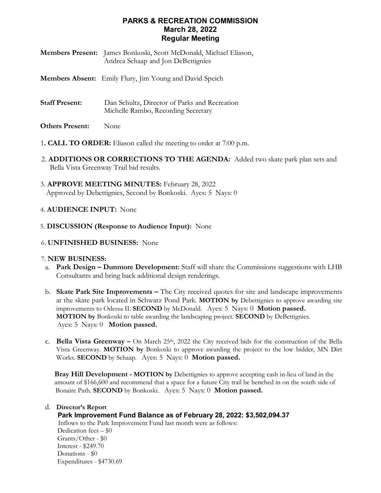# **PARKS & RECREATION COMMISSION March 28, 2022 Regular Meeting**

| <b>Members Present:</b> James Bonkoski, Scott McDonald, Michael Eliason, |
|--------------------------------------------------------------------------|
| Andrea Schaap and Jon DeBettignies                                       |

**Members Absent:** Emily Flury, Jim Young and David Speich

- **Staff Present:** Dan Schultz, Director of Parks and Recreation Michelle Rambo, Recording Secretary
- **Others Present:** None
- 1**. CALL TO ORDER:** Eliason called the meeting to order at 7:00 p.m.
- 2. **ADDITIONS OR CORRECTIONS TO THE AGENDA:** Added two skate park plan sets and Bella Vista Greenway Trail bid results.
- 3. **APPROVE MEETING MINUTES:** February 28, 2022 Approved by Debettignies, Second by Bonkoski. Ayes: 5 Nays: 0

### 4. **AUDIENCE INPUT:** None

- 5. **DISCUSSION (Response to Audience Input):** None
- 6. **UNFINISHED BUSINESS:** None

#### 7. **NEW BUSINESS:**

- a. **Park Design – Dunmore Development:** Staff will share the Commissions suggestions with LHB Consultants and bring back additional design renderings.
- b. **Skate Park Site Improvements –** The City received quotes for site and landscape improvements at the skate park located in Schwarz Pond Park. **MOTION by** Debettignies to approve awarding site improvements to Odessa II. **SECOND** by McDonald. Ayes: 5 Nays: 0 **Motion passed. MOTION by** Bonkoski to table awarding the landscaping project. **SECOND** by DeBettignies. Ayes: 5 Nays: 0 **Motion passed.**
- c. **Bella Vista Greenway –** On March 25th, 2022 the City received bids for the construction of the Bella Vista Greenway. **MOTION by** Bonkoski to approve awarding the project to the low bidder, MN Dirt Works. **SECOND** by Schaap. Ayes: 5 Nays: 0 **Motion passed.**

 **Bray Hill Development - MOTION by** Debettignies to approve accepting cash in-lieu of land in the amount of \$166,600 and recommend that a space for a future City trail be benched in on the south side of Bonaire Path. **SECOND** by Bonkoski. Ayes: 5 Nays: 0 **Motion passed.**

#### d. **Director's Report**

## **Park Improvement Fund Balance as of February 28, 2022: \$3,502,094.37**

 Inflows to the Park Improvement Fund last month were as follows: Dedication fees – \$0 Grants/Other - \$0 Interest - \$249.70 Donations - \$0 Expenditures - \$4730.69